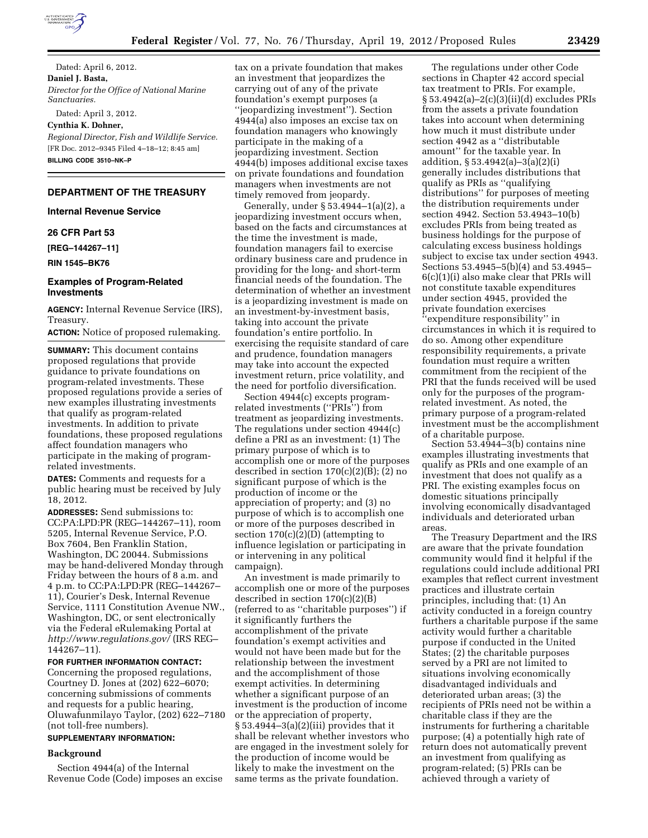

Dated: April 6, 2012. **Daniel J. Basta,**  *Director for the Office of National Marine Sanctuaries.*  Dated: April 3, 2012.

**Cynthia K. Dohner,** 

*Regional Director, Fish and Wildlife Service.*  [FR Doc. 2012–9345 Filed 4–18–12; 8:45 am] **BILLING CODE 3510–NK–P** 

# **DEPARTMENT OF THE TREASURY**

**Internal Revenue Service** 

### **26 CFR Part 53**

**[REG–144267–11]** 

**RIN 1545–BK76** 

### **Examples of Program-Related Investments**

**AGENCY:** Internal Revenue Service (IRS), Treasury.

**ACTION:** Notice of proposed rulemaking.

**SUMMARY:** This document contains proposed regulations that provide guidance to private foundations on program-related investments. These proposed regulations provide a series of new examples illustrating investments that qualify as program-related investments. In addition to private foundations, these proposed regulations affect foundation managers who participate in the making of programrelated investments.

**DATES:** Comments and requests for a public hearing must be received by July 18, 2012.

**ADDRESSES:** Send submissions to: CC:PA:LPD:PR (REG–144267–11), room 5205, Internal Revenue Service, P.O. Box 7604, Ben Franklin Station, Washington, DC 20044. Submissions may be hand-delivered Monday through Friday between the hours of 8 a.m. and 4 p.m. to CC:PA:LPD:PR (REG–144267– 11), Courier's Desk, Internal Revenue Service, 1111 Constitution Avenue NW., Washington, DC, or sent electronically via the Federal eRulemaking Portal at *<http://www.regulations.gov/>*(IRS REG– 144267–11).

### **FOR FURTHER INFORMATION CONTACT:**

Concerning the proposed regulations, Courtney D. Jones at (202) 622–6070; concerning submissions of comments and requests for a public hearing, Oluwafunmilayo Taylor, (202) 622–7180 (not toll-free numbers).

# **SUPPLEMENTARY INFORMATION:**

### **Background**

Section 4944(a) of the Internal Revenue Code (Code) imposes an excise

tax on a private foundation that makes an investment that jeopardizes the carrying out of any of the private foundation's exempt purposes (a ''jeopardizing investment''). Section 4944(a) also imposes an excise tax on foundation managers who knowingly participate in the making of a jeopardizing investment. Section 4944(b) imposes additional excise taxes on private foundations and foundation managers when investments are not timely removed from jeopardy.

Generally, under § 53.4944–1(a)(2), a jeopardizing investment occurs when, based on the facts and circumstances at the time the investment is made, foundation managers fail to exercise ordinary business care and prudence in providing for the long- and short-term financial needs of the foundation. The determination of whether an investment is a jeopardizing investment is made on an investment-by-investment basis, taking into account the private foundation's entire portfolio. In exercising the requisite standard of care and prudence, foundation managers may take into account the expected investment return, price volatility, and the need for portfolio diversification.

Section 4944(c) excepts programrelated investments (''PRIs'') from treatment as jeopardizing investments. The regulations under section 4944(c) define a PRI as an investment: (1) The primary purpose of which is to accomplish one or more of the purposes described in section  $170(c)(2)(B)$ ; (2) no significant purpose of which is the production of income or the appreciation of property; and (3) no purpose of which is to accomplish one or more of the purposes described in section  $170(c)(2)(D)$  (attempting to influence legislation or participating in or intervening in any political campaign).

An investment is made primarily to accomplish one or more of the purposes described in section 170(c)(2)(B) (referred to as ''charitable purposes'') if it significantly furthers the accomplishment of the private foundation's exempt activities and would not have been made but for the relationship between the investment and the accomplishment of those exempt activities. In determining whether a significant purpose of an investment is the production of income or the appreciation of property,  $\S 53.4944-3(a)(2)(iii)$  provides that it shall be relevant whether investors who are engaged in the investment solely for the production of income would be likely to make the investment on the same terms as the private foundation.

The regulations under other Code sections in Chapter 42 accord special tax treatment to PRIs. For example, § 53.4942(a)–2(c)(3)(ii)(d) excludes PRIs from the assets a private foundation takes into account when determining how much it must distribute under section 4942 as a ''distributable amount'' for the taxable year. In addition, § 53.4942(a)–3(a)(2)(i) generally includes distributions that qualify as PRIs as ''qualifying distributions'' for purposes of meeting the distribution requirements under section 4942. Section 53.4943–10(b) excludes PRIs from being treated as business holdings for the purpose of calculating excess business holdings subject to excise tax under section 4943. Sections 53.4945–5(b)(4) and 53.4945– 6(c)(1)(i) also make clear that PRIs will not constitute taxable expenditures under section 4945, provided the private foundation exercises ''expenditure responsibility'' in circumstances in which it is required to do so. Among other expenditure responsibility requirements, a private foundation must require a written commitment from the recipient of the PRI that the funds received will be used only for the purposes of the programrelated investment. As noted, the primary purpose of a program-related investment must be the accomplishment of a charitable purpose.

Section 53.4944–3(b) contains nine examples illustrating investments that qualify as PRIs and one example of an investment that does not qualify as a PRI. The existing examples focus on domestic situations principally involving economically disadvantaged individuals and deteriorated urban areas.

The Treasury Department and the IRS are aware that the private foundation community would find it helpful if the regulations could include additional PRI examples that reflect current investment practices and illustrate certain principles, including that: (1) An activity conducted in a foreign country furthers a charitable purpose if the same activity would further a charitable purpose if conducted in the United States; (2) the charitable purposes served by a PRI are not limited to situations involving economically disadvantaged individuals and deteriorated urban areas; (3) the recipients of PRIs need not be within a charitable class if they are the instruments for furthering a charitable purpose; (4) a potentially high rate of return does not automatically prevent an investment from qualifying as program-related; (5) PRIs can be achieved through a variety of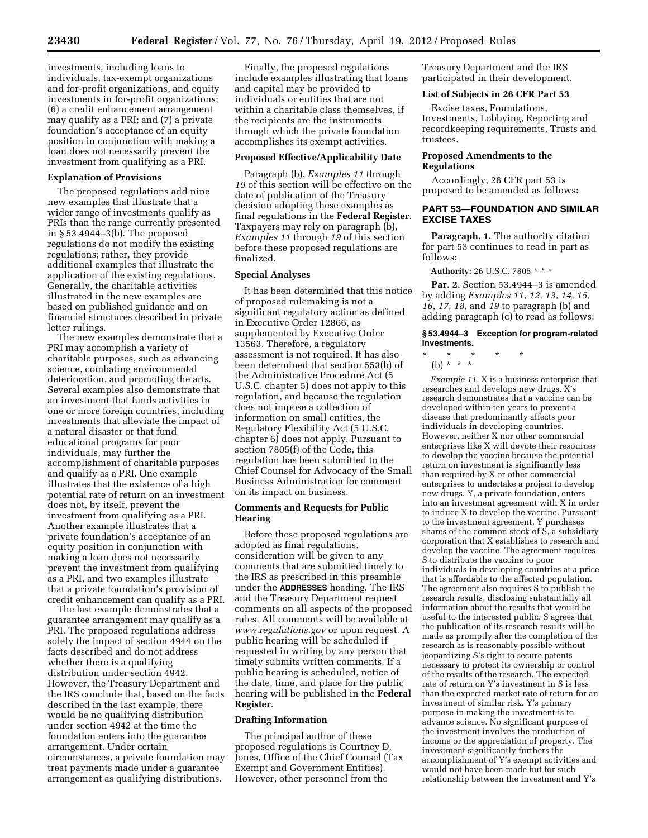investments, including loans to individuals, tax-exempt organizations and for-profit organizations, and equity investments in for-profit organizations; (6) a credit enhancement arrangement may qualify as a PRI; and (7) a private foundation's acceptance of an equity position in conjunction with making a loan does not necessarily prevent the investment from qualifying as a PRI.

#### **Explanation of Provisions**

The proposed regulations add nine new examples that illustrate that a wider range of investments qualify as PRIs than the range currently presented in § 53.4944–3(b). The proposed regulations do not modify the existing regulations; rather, they provide additional examples that illustrate the application of the existing regulations. Generally, the charitable activities illustrated in the new examples are based on published guidance and on financial structures described in private letter rulings.

The new examples demonstrate that a PRI may accomplish a variety of charitable purposes, such as advancing science, combating environmental deterioration, and promoting the arts. Several examples also demonstrate that an investment that funds activities in one or more foreign countries, including investments that alleviate the impact of a natural disaster or that fund educational programs for poor individuals, may further the accomplishment of charitable purposes and qualify as a PRI. One example illustrates that the existence of a high potential rate of return on an investment does not, by itself, prevent the investment from qualifying as a PRI. Another example illustrates that a private foundation's acceptance of an equity position in conjunction with making a loan does not necessarily prevent the investment from qualifying as a PRI, and two examples illustrate that a private foundation's provision of credit enhancement can qualify as a PRI.

The last example demonstrates that a guarantee arrangement may qualify as a PRI. The proposed regulations address solely the impact of section 4944 on the facts described and do not address whether there is a qualifying distribution under section 4942. However, the Treasury Department and the IRS conclude that, based on the facts described in the last example, there would be no qualifying distribution under section 4942 at the time the foundation enters into the guarantee arrangement. Under certain circumstances, a private foundation may treat payments made under a guarantee arrangement as qualifying distributions.

Finally, the proposed regulations include examples illustrating that loans and capital may be provided to individuals or entities that are not within a charitable class themselves, if the recipients are the instruments through which the private foundation accomplishes its exempt activities.

### **Proposed Effective/Applicability Date**

Paragraph (b), *Examples 11* through *19* of this section will be effective on the date of publication of the Treasury decision adopting these examples as final regulations in the **Federal Register**. Taxpayers may rely on paragraph (b), *Examples 11* through *19* of this section before these proposed regulations are finalized.

### **Special Analyses**

It has been determined that this notice of proposed rulemaking is not a significant regulatory action as defined in Executive Order 12866, as supplemented by Executive Order 13563. Therefore, a regulatory assessment is not required. It has also been determined that section 553(b) of the Administrative Procedure Act (5 U.S.C. chapter 5) does not apply to this regulation, and because the regulation does not impose a collection of information on small entities, the Regulatory Flexibility Act (5 U.S.C. chapter 6) does not apply. Pursuant to section 7805(f) of the Code, this regulation has been submitted to the Chief Counsel for Advocacy of the Small Business Administration for comment on its impact on business.

## **Comments and Requests for Public Hearing**

Before these proposed regulations are adopted as final regulations, consideration will be given to any comments that are submitted timely to the IRS as prescribed in this preamble under the **ADDRESSES** heading. The IRS and the Treasury Department request comments on all aspects of the proposed rules. All comments will be available at *[www.regulations.gov](http://www.regulations.gov)* or upon request. A public hearing will be scheduled if requested in writing by any person that timely submits written comments. If a public hearing is scheduled, notice of the date, time, and place for the public hearing will be published in the **Federal Register**.

### **Drafting Information**

The principal author of these proposed regulations is Courtney D. Jones, Office of the Chief Counsel (Tax Exempt and Government Entities). However, other personnel from the

Treasury Department and the IRS participated in their development.

### **List of Subjects in 26 CFR Part 53**

Excise taxes, Foundations, Investments, Lobbying, Reporting and recordkeeping requirements, Trusts and trustees.

### **Proposed Amendments to the Regulations**

Accordingly, 26 CFR part 53 is proposed to be amended as follows:

# **PART 53—FOUNDATION AND SIMILAR EXCISE TAXES**

**Paragraph. 1.** The authority citation for part 53 continues to read in part as follows:

#### **Authority:** 26 U.S.C. 7805 \* \* \*

**Par. 2.** Section 53.4944–3 is amended by adding *Examples 11, 12, 13, 14, 15, 16, 17, 18,* and *19* to paragraph (b) and adding paragraph (c) to read as follows:

# **§ 53.4944–3 Exception for program-related investments.**

- \* \* \* \* \*
	- (b) \* \* \*

*Example 11.* X is a business enterprise that researches and develops new drugs. X's research demonstrates that a vaccine can be developed within ten years to prevent a disease that predominantly affects poor individuals in developing countries. However, neither X nor other commercial enterprises like X will devote their resources to develop the vaccine because the potential return on investment is significantly less than required by X or other commercial enterprises to undertake a project to develop new drugs. Y, a private foundation, enters into an investment agreement with X in order to induce X to develop the vaccine. Pursuant to the investment agreement, Y purchases shares of the common stock of  $\overrightarrow{S}$ , a subsidiary corporation that X establishes to research and develop the vaccine. The agreement requires S to distribute the vaccine to poor individuals in developing countries at a price that is affordable to the affected population. The agreement also requires S to publish the research results, disclosing substantially all information about the results that would be useful to the interested public. S agrees that the publication of its research results will be made as promptly after the completion of the research as is reasonably possible without jeopardizing S's right to secure patents necessary to protect its ownership or control of the results of the research. The expected rate of return on Y's investment in S is less than the expected market rate of return for an investment of similar risk. Y's primary purpose in making the investment is to advance science. No significant purpose of the investment involves the production of income or the appreciation of property. The investment significantly furthers the accomplishment of Y's exempt activities and would not have been made but for such relationship between the investment and Y's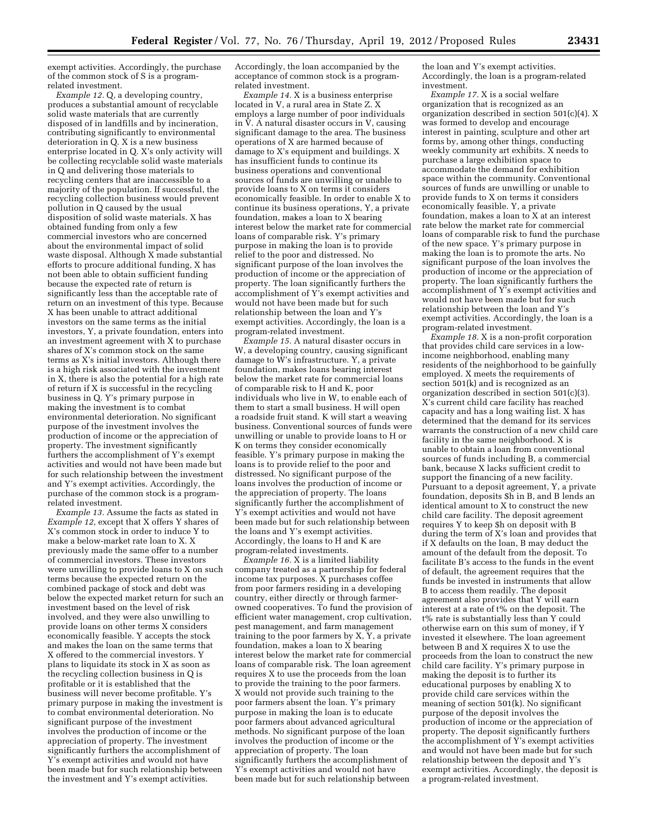exempt activities. Accordingly, the purchase of the common stock of S is a programrelated investment.

*Example 12.* Q, a developing country, produces a substantial amount of recyclable solid waste materials that are currently disposed of in landfills and by incineration, contributing significantly to environmental deterioration in Q. X is a new business enterprise located in Q. X's only activity will be collecting recyclable solid waste materials in Q and delivering those materials to recycling centers that are inaccessible to a majority of the population. If successful, the recycling collection business would prevent pollution in Q caused by the usual disposition of solid waste materials. X has obtained funding from only a few commercial investors who are concerned about the environmental impact of solid waste disposal. Although X made substantial efforts to procure additional funding, X has not been able to obtain sufficient funding because the expected rate of return is significantly less than the acceptable rate of return on an investment of this type. Because X has been unable to attract additional investors on the same terms as the initial investors, Y, a private foundation, enters into an investment agreement with X to purchase shares of X's common stock on the same terms as X's initial investors. Although there is a high risk associated with the investment in X, there is also the potential for a high rate of return if X is successful in the recycling business in Q. Y's primary purpose in making the investment is to combat environmental deterioration. No significant purpose of the investment involves the production of income or the appreciation of property. The investment significantly furthers the accomplishment of Y's exempt activities and would not have been made but for such relationship between the investment and Y's exempt activities. Accordingly, the purchase of the common stock is a programrelated investment.

*Example 13.* Assume the facts as stated in *Example 12,* except that X offers Y shares of X's common stock in order to induce Y to make a below-market rate loan to X. X previously made the same offer to a number of commercial investors. These investors were unwilling to provide loans to X on such terms because the expected return on the combined package of stock and debt was below the expected market return for such an investment based on the level of risk involved, and they were also unwilling to provide loans on other terms X considers economically feasible. Y accepts the stock and makes the loan on the same terms that X offered to the commercial investors. Y plans to liquidate its stock in X as soon as the recycling collection business in Q is profitable or it is established that the business will never become profitable. Y's primary purpose in making the investment is to combat environmental deterioration. No significant purpose of the investment involves the production of income or the appreciation of property. The investment significantly furthers the accomplishment of Y's exempt activities and would not have been made but for such relationship between the investment and Y's exempt activities.

Accordingly, the loan accompanied by the acceptance of common stock is a programrelated investment.

*Example 14.* X is a business enterprise located in V, a rural area in State Z. X employs a large number of poor individuals in  $\overline{V}$ . A natural disaster occurs in V, causing significant damage to the area. The business operations of X are harmed because of damage to X's equipment and buildings. X has insufficient funds to continue its business operations and conventional sources of funds are unwilling or unable to provide loans to X on terms it considers economically feasible. In order to enable X to continue its business operations, Y, a private foundation, makes a loan to X bearing interest below the market rate for commercial loans of comparable risk. Y's primary purpose in making the loan is to provide relief to the poor and distressed. No significant purpose of the loan involves the production of income or the appreciation of property. The loan significantly furthers the accomplishment of Y's exempt activities and would not have been made but for such relationship between the loan and Y's exempt activities. Accordingly, the loan is a program-related investment.

*Example 15.* A natural disaster occurs in W, a developing country, causing significant damage to W's infrastructure. Y, a private foundation, makes loans bearing interest below the market rate for commercial loans of comparable risk to H and K, poor individuals who live in W, to enable each of them to start a small business. H will open a roadside fruit stand. K will start a weaving business. Conventional sources of funds were unwilling or unable to provide loans to H or K on terms they consider economically feasible. Y's primary purpose in making the loans is to provide relief to the poor and distressed. No significant purpose of the loans involves the production of income or the appreciation of property. The loans significantly further the accomplishment of Y's exempt activities and would not have been made but for such relationship between the loans and Y's exempt activities. Accordingly, the loans to H and K are program-related investments.

*Example 16.* X is a limited liability company treated as a partnership for federal income tax purposes. X purchases coffee from poor farmers residing in a developing country, either directly or through farmerowned cooperatives. To fund the provision of efficient water management, crop cultivation, pest management, and farm management training to the poor farmers by  $X, Y$ , a private foundation, makes a loan to X bearing interest below the market rate for commercial loans of comparable risk. The loan agreement requires X to use the proceeds from the loan to provide the training to the poor farmers. X would not provide such training to the poor farmers absent the loan. Y's primary purpose in making the loan is to educate poor farmers about advanced agricultural methods. No significant purpose of the loan involves the production of income or the appreciation of property. The loan significantly furthers the accomplishment of Y's exempt activities and would not have been made but for such relationship between

the loan and Y's exempt activities. Accordingly, the loan is a program-related investment.

*Example 17.* X is a social welfare organization that is recognized as an organization described in section 501(c)(4). X was formed to develop and encourage interest in painting, sculpture and other art forms by, among other things, conducting weekly community art exhibits. X needs to purchase a large exhibition space to accommodate the demand for exhibition space within the community. Conventional sources of funds are unwilling or unable to provide funds to X on terms it considers economically feasible. Y, a private foundation, makes a loan to X at an interest rate below the market rate for commercial loans of comparable risk to fund the purchase of the new space. Y's primary purpose in making the loan is to promote the arts. No significant purpose of the loan involves the production of income or the appreciation of property. The loan significantly furthers the accomplishment of Y's exempt activities and would not have been made but for such relationship between the loan and Y's exempt activities. Accordingly, the loan is a program-related investment.

*Example 18.* X is a non-profit corporation that provides child care services in a lowincome neighborhood, enabling many residents of the neighborhood to be gainfully employed. X meets the requirements of section 501(k) and is recognized as an organization described in section 501(c)(3). X's current child care facility has reached capacity and has a long waiting list. X has determined that the demand for its services warrants the construction of a new child care facility in the same neighborhood. X is unable to obtain a loan from conventional sources of funds including B, a commercial bank, because X lacks sufficient credit to support the financing of a new facility. Pursuant to a deposit agreement, Y, a private foundation, deposits \$h in B, and B lends an identical amount to X to construct the new child care facility. The deposit agreement requires Y to keep \$h on deposit with B during the term of X's loan and provides that if X defaults on the loan, B may deduct the amount of the default from the deposit. To facilitate B's access to the funds in the event of default, the agreement requires that the funds be invested in instruments that allow B to access them readily. The deposit agreement also provides that Y will earn interest at a rate of t% on the deposit. The t% rate is substantially less than Y could otherwise earn on this sum of money, if Y invested it elsewhere. The loan agreement between B and X requires X to use the proceeds from the loan to construct the new child care facility. Y's primary purpose in making the deposit is to further its educational purposes by enabling X to provide child care services within the meaning of section 501(k). No significant purpose of the deposit involves the production of income or the appreciation of property. The deposit significantly furthers the accomplishment of  $\check{Y}$ 's exempt activities and would not have been made but for such relationship between the deposit and Y's exempt activities. Accordingly, the deposit is a program-related investment.